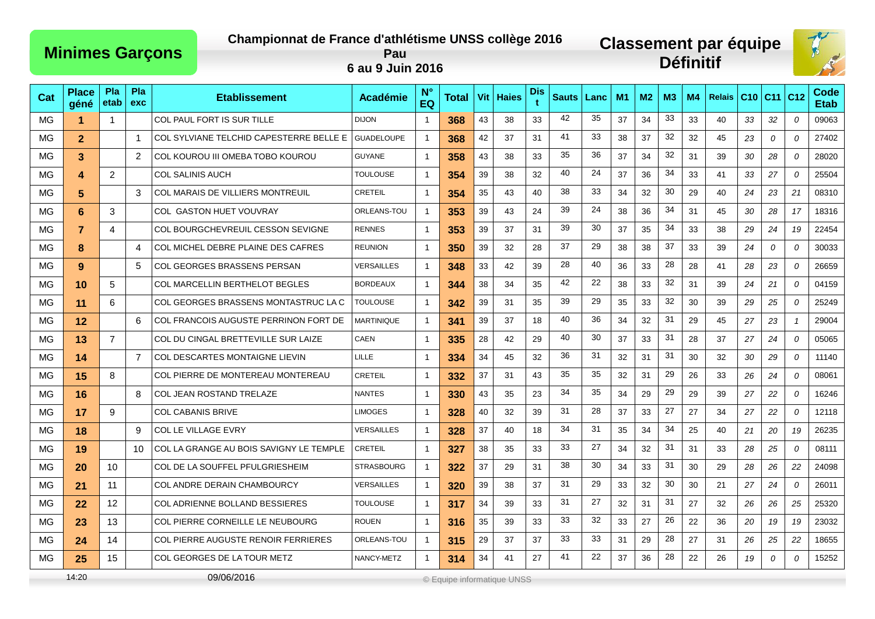## **Championnat de France d'athlétisme UNSS collège 2016**

## **Classement par équipe Définitif**



**Pau 6 au 9 Juin 2016**

| Cat | <b>Place</b><br>géné | Pla<br>etab    | Pla<br>exc     | <b>Etablissement</b>                    | <b>Académie</b>   | $N^{\circ}$<br>EQ | Total                      |    | Vit   Haies | Dis<br>Ŧ | <b>Sauts</b> | Lanc | M1 | M <sub>2</sub> | M <sub>3</sub> | M4 | <b>Relais</b> | C10 | $C11$ $C12$ |                | Code<br>Etab |
|-----|----------------------|----------------|----------------|-----------------------------------------|-------------------|-------------------|----------------------------|----|-------------|----------|--------------|------|----|----------------|----------------|----|---------------|-----|-------------|----------------|--------------|
| MG  | 1                    | $\mathbf 1$    |                | COL PAUL FORT IS SUR TILLE              | <b>DIJON</b>      | $\overline{1}$    | 368                        | 43 | 38          | 33       | 42           | 35   | 37 | 34             | 33             | 33 | 40            | 33  | 32          | $\theta$       | 09063        |
| МG  | $\overline{2}$       |                | $\overline{1}$ | COL SYLVIANE TELCHID CAPESTERRE BELLE E | <b>GUADELOUPE</b> | $\overline{1}$    | 368                        | 42 | 37          | 31       | 41           | 33   | 38 | 37             | 32             | 32 | 45            | 23  | 0           | 0              | 27402        |
| MG  | 3                    |                | 2              | COL KOUROU III OMEBA TOBO KOUROU        | <b>GUYANE</b>     | $\overline{1}$    | 358                        | 43 | 38          | 33       | 35           | 36   | 37 | 34             | 32             | 31 | 39            | 30  | 28          | 0              | 28020        |
| MG  | 4                    | $\overline{2}$ |                | <b>COL SALINIS AUCH</b>                 | <b>TOULOUSE</b>   | $\overline{1}$    | 354                        | 39 | 38          | 32       | 40           | 24   | 37 | 36             | 34             | 33 | 41            | 33  | 27          | 0              | 25504        |
| MG  | 5.                   |                | 3              | COL MARAIS DE VILLIERS MONTREUIL        | <b>CRETEIL</b>    | $\overline{1}$    | 354                        | 35 | 43          | 40       | 38           | 33   | 34 | 32             | 30             | 29 | 40            | 24  | 23          | 21             | 08310        |
| MG  | 6                    | 3              |                | COL GASTON HUET VOUVRAY                 | ORLEANS-TOU       | $\overline{1}$    | 353                        | 39 | 43          | 24       | 39           | 24   | 38 | 36             | 34             | 31 | 45            | 30  | 28          | 17             | 18316        |
| MG  | $\overline{7}$       | $\overline{4}$ |                | COL BOURGCHEVREUIL CESSON SEVIGNE       | <b>RENNES</b>     | $\overline{1}$    | 353                        | 39 | 37          | 31       | 39           | 30   | 37 | 35             | 34             | 33 | 38            | 29  | 24          | 19             | 22454        |
| MG  | 8                    |                | $\overline{4}$ | COL MICHEL DEBRE PLAINE DES CAFRES      | <b>REUNION</b>    | $\overline{1}$    | 350                        | 39 | 32          | 28       | 37           | 29   | 38 | 38             | 37             | 33 | 39            | 24  | 0           | 0              | 30033        |
| MG  | 9 <sup>°</sup>       |                | 5              | COL GEORGES BRASSENS PERSAN             | <b>VERSAILLES</b> | $\overline{1}$    | 348                        | 33 | 42          | 39       | 28           | 40   | 36 | 33             | 28             | 28 | 41            | 28  | 23          | 0              | 26659        |
| МG  | 10                   | 5              |                | COL MARCELLIN BERTHELOT BEGLES          | <b>BORDEAUX</b>   | $\overline{1}$    | 344                        | 38 | 34          | 35       | 42           | 22   | 38 | 33             | 32             | 31 | 39            | 24  | 21          | 0              | 04159        |
| МG  | 11                   | 6              |                | COL GEORGES BRASSENS MONTASTRUC LA C    | <b>TOULOUSE</b>   | $\overline{1}$    | 342                        | 39 | 31          | 35       | 39           | 29   | 35 | 33             | 32             | 30 | 39            | 29  | 25          | $\overline{0}$ | 25249        |
| MG  | 12                   |                | 6              | COL FRANCOIS AUGUSTE PERRINON FORT DE   | <b>MARTINIQUE</b> | $\overline{1}$    | 341                        | 39 | 37          | 18       | 40           | 36   | 34 | 32             | 31             | 29 | 45            | 27  | 23          | $\overline{1}$ | 29004        |
| МG  | 13                   | $\overline{7}$ |                | COL DU CINGAL BRETTEVILLE SUR LAIZE     | <b>CAEN</b>       | $\overline{1}$    | 335                        | 28 | 42          | 29       | 40           | 30   | 37 | 33             | 31             | 28 | 37            | 27  | 24          | 0              | 05065        |
| MG  | 14                   |                | $\overline{7}$ | COL DESCARTES MONTAIGNE LIEVIN          | LILLE             | $\overline{1}$    | 334                        | 34 | 45          | 32       | 36           | 31   | 32 | 31             | 31             | 30 | 32            | 30  | 29          | 0              | 11140        |
| МG  | 15                   | 8              |                | COL PIERRE DE MONTEREAU MONTEREAU       | <b>CRETEIL</b>    | $\overline{1}$    | 332                        | 37 | 31          | 43       | 35           | 35   | 32 | 31             | 29             | 26 | 33            | 26  | 24          | 0              | 08061        |
| MG  | 16                   |                | 8              | <b>COL JEAN ROSTAND TRELAZE</b>         | <b>NANTES</b>     | $\overline{1}$    | 330                        | 43 | 35          | 23       | 34           | 35   | 34 | 29             | 29             | 29 | 39            | 27  | 22          | $\mathcal O$   | 16246        |
| ΜG  | 17                   | 9              |                | COL CABANIS BRIVE                       | <b>LIMOGES</b>    | $\overline{1}$    | 328                        | 40 | 32          | 39       | -31          | 28   | 37 | 33             | 27             | 27 | 34            | 27  | 22          | $\overline{0}$ | 12118        |
| МG  | 18                   |                | 9              | <b>COL LE VILLAGE EVRY</b>              | VERSAILLES        | $\overline{1}$    | 328                        | 37 | 40          | 18       | 34           | 31   | 35 | 34             | 34             | 25 | 40            | 21  | 20          | 19             | 26235        |
| ΜG  | 19                   |                | 10             | COL LA GRANGE AU BOIS SAVIGNY LE TEMPLE | <b>CRETEIL</b>    | $\overline{1}$    | 327                        | 38 | 35          | 33       | 33           | 27   | 34 | 32             | 31             | 31 | 33            | 28  | 25          | 0              | 08111        |
| MG  | 20                   | 10             |                | COL DE LA SOUFFEL PFULGRIESHEIM         | <b>STRASBOURG</b> | $\overline{1}$    | 322                        | 37 | 29          | 31       | 38           | 30   | 34 | 33             | 31             | 30 | 29            | 28  | 26          | 22             | 24098        |
| MG  | 21                   | 11             |                | COL ANDRE DERAIN CHAMBOURCY             | VERSAILLES        | $\overline{1}$    | 320                        | 39 | 38          | 37       | 31           | 29   | 33 | 32             | 30             | 30 | 21            | 27  | 24          | 0              | 26011        |
| MG  | 22                   | 12             |                | COL ADRIENNE BOLLAND BESSIERES          | <b>TOULOUSE</b>   | $\overline{1}$    | 317                        | 34 | 39          | 33       | -31          | 27   | 32 | 31             | 31             | 27 | 32            | 26  | 26          | 25             | 25320        |
| MG  | 23                   | 13             |                | COL PIERRE CORNEILLE LE NEUBOURG        | <b>ROUEN</b>      | $\overline{1}$    | 316                        | 35 | 39          | 33       | 33           | 32   | 33 | 27             | 26             | 22 | 36            | 20  | 19          | 19             | 23032        |
| MG  | 24                   | 14             |                | COL PIERRE AUGUSTE RENOIR FERRIERES     | ORLEANS-TOU       | -1                | 315                        | 29 | 37          | 37       | 33           | 33   | 31 | 29             | 28             | 27 | 31            | 26  | 25          | 22             | 18655        |
| MG  | 25                   | 15             |                | COL GEORGES DE LA TOUR METZ             | NANCY-METZ        | $\overline{1}$    | 314                        | 34 | 41          | 27       | 41           | 22   | 37 | 36             | 28             | 22 | 26            | 19  | $\Omega$    | $\mathcal{O}$  | 15252        |
|     | 14:20                |                |                | 09/06/2016                              |                   |                   | © Equipe informatique UNSS |    |             |          |              |      |    |                |                |    |               |     |             |                |              |

**Minimes Garçons**